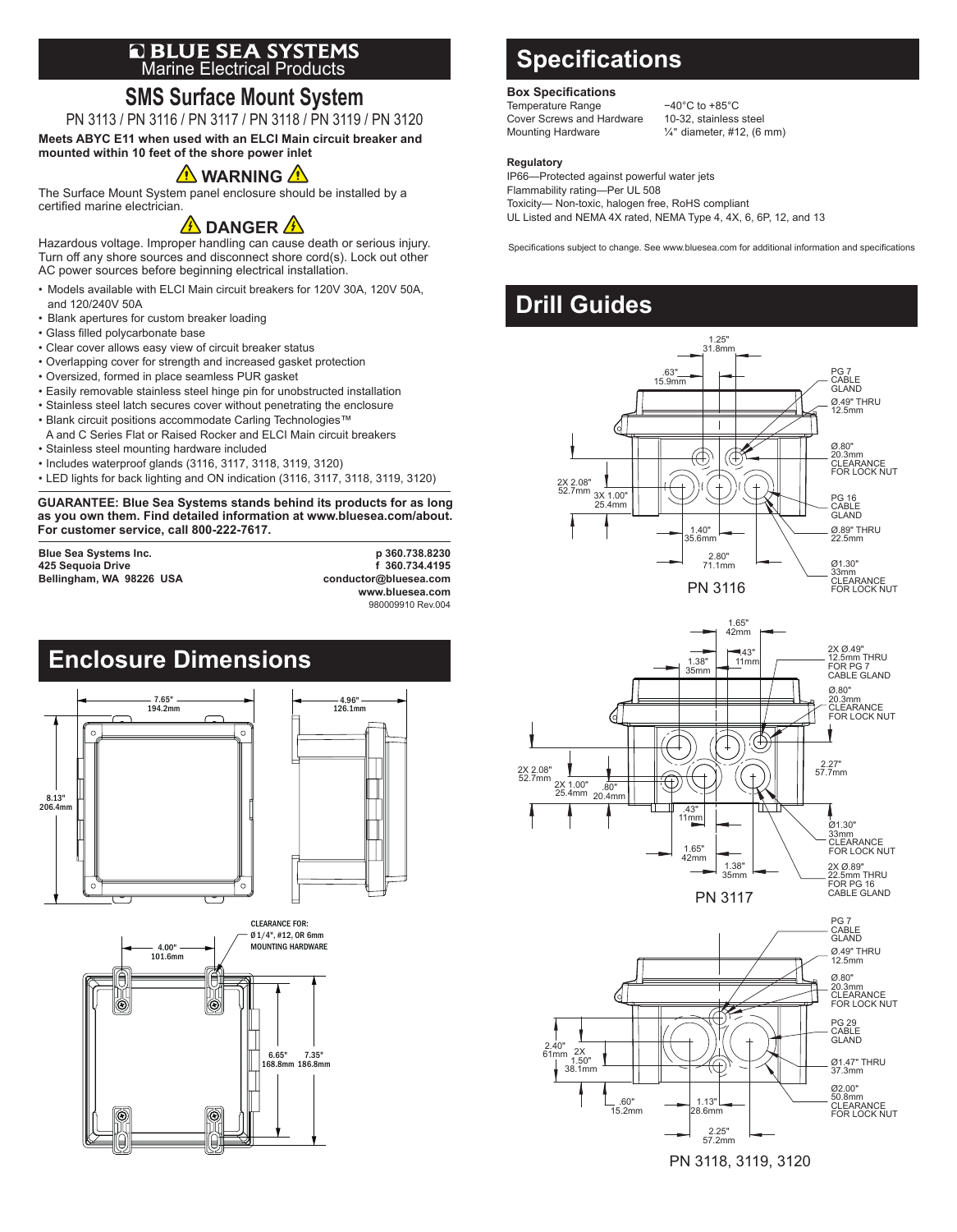# **E BLUE SEA SYSTEMS**<br>Marine Electrical Products

## **SMS Surface Mount System**

PN 3113 / PN 3116 / PN 3117 / PN 3118 / PN 3119 / PN 3120 **Meets ABYC E11 when used with an ELCI Main circuit breaker and**

**mounted within 10 feet of the shore power inlet**

### **A** WARNING A

The Surface Mount System panel enclosure should be installed by a certified marine electrician.

### **A** DANGER A

Hazardous voltage. Improper handling can cause death or serious injury. Turn off any shore sources and disconnect shore cord(s). Lock out other AC power sources before beginning electrical installation.

- Models available with ELCI Main circuit breakers for 120V 30A, 120V 50A, and 120/240V 50A
- Blank apertures for custom breaker loading
- Glass filled polycarbonate base
- Clear cover allows easy view of circuit breaker status
- Overlapping cover for strength and increased gasket protection
- Oversized, formed in place seamless PUR gasket
- Easily removable stainless steel hinge pin for unobstructed installation
- Stainless steel latch secures cover without penetrating the enclosure
- Blank circuit positions accommodate Carling Technologies™
- A and C Series Flat or Raised Rocker and ELCI Main circuit breakers
- Stainless steel mounting hardware included
- Includes waterproof glands (3116, 3117, 3118, 3119, 3120)
- LED lights for back lighting and ON indication (3116, 3117, 3118, 3119, 3120)

**GUARANTEE: Blue Sea Systems stands behind its products for as long as you own them. Find detailed information at www.bluesea.com/about. For customer service, call 800-222-7617.**

425 Sequoia Drive **f 360.734.4195**<br>Bellingham, WA 98226 USA **f and a set of the set of the set of the set of the set of the set of the set of the Bellingham, WA 98226 USA** 

**Blue Sea Systems Inc. p 360.738.8230 www.bluesea.com** 980009910 Rev.004



## **Specifications**

#### **Box Specifications**

Temperature Range −40°C to +85°C<br>Cover Screws and Hardware 10-32, stainless steel Cover Screws and Hardware<br>Mounting Hardware

 $\frac{1}{4}$ " diameter, #12, (6 mm)

#### **Regulatory**

IP66—Protected against powerful water jets Flammability rating—Per UL 508 Toxicity— Non-toxic, halogen free, RoHS compliant UL Listed and NEMA 4X rated, NEMA Type 4, 4X, 6, 6P, 12, and 13

Specifications subject to change. See www.bluesea.com for additional information and specifications

### **Drill Guides**







PN 3118, 3119, 3120